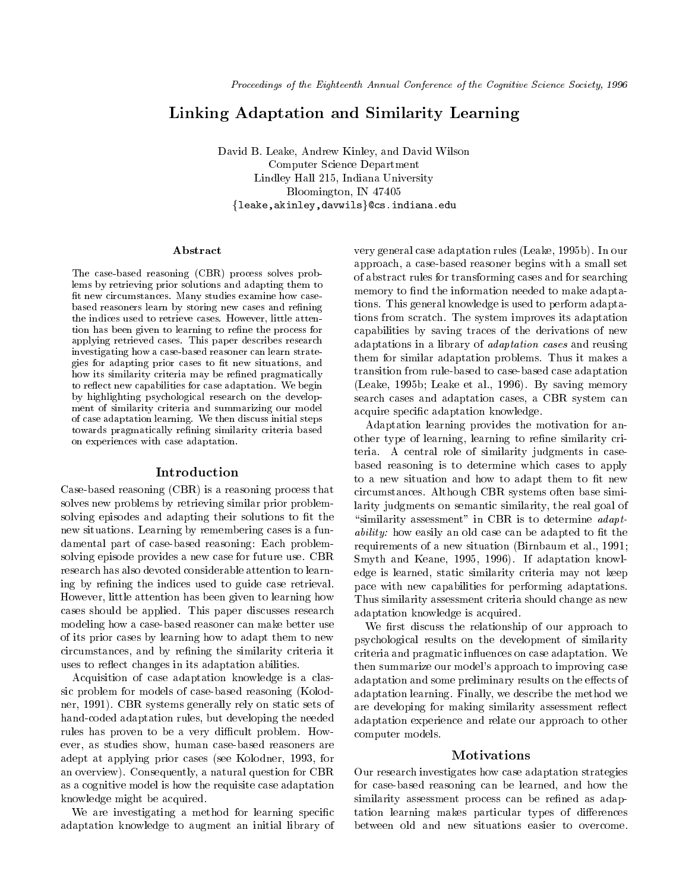# Linking Adaptation and Similarity Learning

David B. Leake, Andrew Kinley, and David Wilson Computer Science Department Lindley Hall 215, Indiana University Bloomington, IN 47405  ${leake, akinley, davails}$ Cs.indiana.edu

#### Abstract

The case-based reasoning (CBR) process solves problems by retrieving prior solutions and adapting them tont new circumstances. Iviany studies examine how casebased reasoners learn by storing new cases and refining the indices used to retrieve cases. However, little attention has been given to learning to refine the process for applying retrieved cases. This paper describes research investigating how a case-based reasoner can learn strategies for adapting prior cases to he new situations, and how its similarity criteria may be refined pragmatically to re
ect new capabilities for case adaptation. We begin  $b$  is the dependence psychological research on the develop-  $b$ ment of similarity criteria and summarizing our modelof case adaptation learning. We then discuss initial steps towards pragmatically refining similarity criteria based on experiences with case adaptation.

#### Introduction

Case-based reasoning (CBR) is a reasoning process that solves new problems by retrieving similar prior problemsolving episodes and adapting their solutions to fit the new situations. Learning by remembering cases is a fundamental part of case-based reasoning: Each problemsolving episode provides a new case for future use. CBR research has also devoted considerable attention to learning by refining the indices used to guide case retrieval. However, little attention has been given to learning how cases should be applied. This paper discusses research modeling how a case-based reasoner can make better use of its prior cases by learning how to adapt them to new circumstances, and by refining the similarity criteria it uses to reflect changes in its adaptation abilities.

Acquisition of case adaptation knowledge is a classic problem for models of case-based reasoning (Kolodner, 1991). CBR systems generally rely on static sets of hand-coded adaptation rules, but developing the needed rules has proven to be a very difficult problem. However, as studies show, human case-based reasoners are adept at applying prior cases (see Kolodner, 1993, for an overview). Consequently, a natural question for CBR as a cognitive model is how the requisite case adaptation knowledge might be acquired.

We are investigating a method for learning specific adaptation knowledge to augment an initial library of

memory to find the information needed to make adapta capabilities by saving traces of the derivations of new very general case adaptation rules (Leake, 1995b). In our approach, a case-based reasoner begins with a small set of abstract rules for transforming cases and for searching tions. This general knowledge is used to perform adaptations from scratch. The system improves its adaptation adaptations in a library of adaptation cases and reusing them for similar adaptation problems. Thus it makes a transition from rule-based to case-based case adaptation (Leake et al., 1995b; Leake et al., 1995b; Leake et al., 1995b; Leake et al., 1995b; Leake et al., 1996b; Leake et al., 1996b; Leake et al., 1996b; Leake et al., 1996b; Leake et al., 1996b; Leake et al., 1996b; Leake et a search cases and adaptation cases, a CBR system can acquire specic adaptation knowledge.

other type of learning, learning to refine similarity cri-Adaptation learning provides the motivation for anteria. A central role of similarity judgments in casebased reasoning is to determine which cases to apply to a new situation and how to adapt them to fit new circumstances. Although CBR systems often base similarity judgments on semantic similarity, the real goal of "similarity assessment" in CBR is to determine  $\alpha \text{d} \alpha \text{p} t$ ability: how easily an old case can be adapted to fit the requirements of a new situation (Birnbaum et al., 1991; Smyth and Keane, 1995, 1996). If adaptation knowledge is learned, static similarity criteria may not keep pace with new capabilities for performing adaptations. Thus similarity assessment criteria should change as new adaptation knowledge is acquired.

We first discuss the relationship of our approach to psychological results on the development of similarity criteria and pragmatic influences on case adaptation. We then summarize our model's approach to improving case adaptation and some preliminary results on the effects of adaptation learning. Finally, we describe the method we are developing for making similarity assessment reflect adaptation experience and relate our approach to other computer models.

#### Motivations

Our research investigates how case adaptation strategies for case-based reasoning can be learned, and how the similarity assessment process can be refined as adaptation learning makes particular types of differences between old and new situations easier to overcome.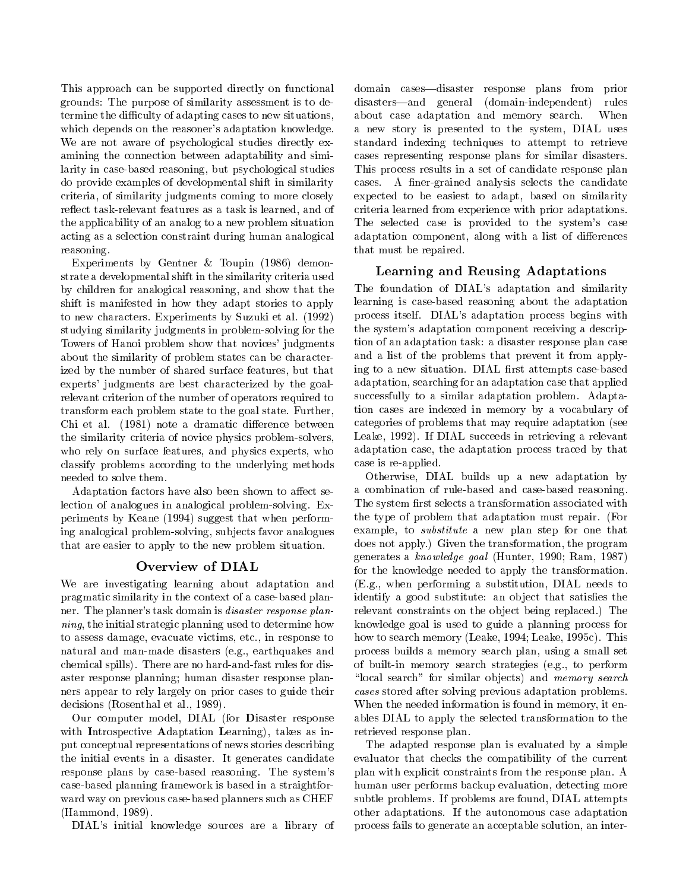This approach can be supported directly on functional grounds: The purpose of similarity assessment is to determine the difficulty of adapting cases to new situations, which depends on the reasoner's adaptation knowledge. We are not aware of psychological studies directly examining the connection between adaptability and similarity in case-based reasoning, but psychological studies do provide examples of developmental shift in similarity criteria, of similarity judgments coming to more closely reflect task-relevant features as a task is learned, and of the applicability of an analog to a new problem situation acting as a selection constraint during human analogical reasoning.

Experiments by Gentner & Toupin (1986) demonstrate a developmental shift in the similarity criteria used by children for analogical reasoning, and show that the shift is manifested in how they adapt stories to apply to new characters. Experiments by Suzuki et al. (1992) studying similarity judgments in problem-solving for the Towers of Hanoi problem show that novices' judgments about the similarity of problem states can be characterized by the number of shared surface features, but that experts' judgments are best characterized by the goalrelevant criterion of the number of operators required to transform each problem state to the goal state. Further, Chi et al. (1981) note a dramatic difference between the similarity criteria of novice physics problem-solvers, who rely on surface features, and physics experts, who classify problems according to the underlying methods needed to solve them.

Adaptation factors have also been shown to affect selection of analogues in analogical problem-solving. Experiments by Keane (1994) suggest that when performing analogical problem-solving, sub jects favor analogues that are easier to apply to the new problem situation.

## Overview of DIAL

We are investigating learning about adaptation and pragmatic similarity in the context of a case-based planner. The planner's task domain is disaster response planning, the initial strategic planning used to determine how to assess damage, evacuate victims, etc., in response to natural and man-made disasters (e.g., earthquakes and chemical spills). There are no hard-and-fast rules for disaster response planning; human disaster response planners appear to rely largely on prior cases to guide their decisions (Rosenthal et al., 1989).

Our computer model, DIAL (for Disaster response with Introspective Adaptation Learning), takes as input conceptual representations of news stories describing the initial events in a disaster. It generates candidate response plans by case-based reasoning. The system's case-based planning framework is based in a straightfor ward way on previous case-based planners such as CHEF (Hammond, 1989).

DIAL's initial knowledge sources are a library of

domain cases—disaster response plans from prior disasters—and general (domain-independent) rules about case adaptation and memory search. When a new story is presented to the system, DIAL uses standard indexing techniques to attempt to retrieve cases representing response plans for similar disasters. This process results in a set of candidate response plan cases. A finer-grained analysis selects the candidate expected to be easiest to adapt, based on similarity criteria learned from experience with prior adaptations. The selected case is provided to the system's case adaptation component, along with a list of differences that must be repaired.

## Learning and Reusing Adaptations

The foundation of DIAL's adaptation and similarity learning is case-based reasoning about the adaptation process itself. DIAL's adaptation process begins with the system's adaptation component receiving a description of an adaptation task: a disaster response plan case and a list of the problems that prevent it from applying to a new situation. DIAL first attempts case-based adaptation, searching for an adaptation case that applied successfully to a similar adaptation problem. Adaptation cases are indexed in memory by a vocabulary of categories of problems that may require adaptation (see Leake, 1992). If DIAL succeeds in retrieving a relevant adaptation case, the adaptation process traced by that case is re-applied.

Otherwise, DIAL builds up a new adaptation by a combination of rule-based and case-based reasoning. The system first selects a transformation associated with the type of problem that adaptation must repair. (For example, to substitute a new plan step for one that does not apply.) Given the transformation, the program generates a know ledge goal (Hunter, 1990; Ram, 1987) for the knowledge needed to apply the transformation. (E.g., when performing a substitution, DIAL needs to identify a good substitute: an object that satisfies the relevant constraints on the object being replaced.) The knowledge goal is used to guide a planning process for how to search memory (Leake, 1994; Leake, 1995c). This process builds a memory search plan, using a small set of built-in memory search strategies (e.g., to perform "local search" for similar objects) and memory search cases stored after solving previous adaptation problems. When the needed information is found in memory, it enables DIAL to apply the selected transformation to the retrieved response plan.

The adapted response plan is evaluated by a simple evaluator that checks the compatibility of the current plan with explicit constraints from the response plan. A human user performs backup evaluation, detecting more subtle problems. If problems are found, DIAL attempts other adaptations. If the autonomous case adaptation process fails to generate an acceptable solution, an inter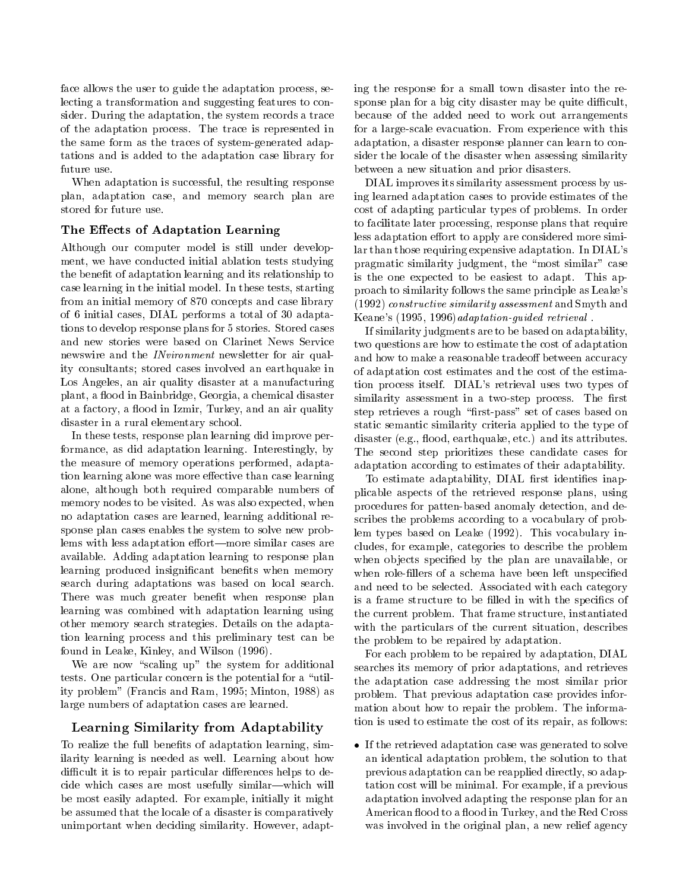face allows the user to guide the adaptation process, selecting a transformation and suggesting features to consider. During the adaptation, the system records a trace of the adaptation process. The trace is represented in the same form as the traces of system-generated adaptations and is added to the adaptation case library for future use.

When adaptation is successful, the resulting response plan, adaptation case, and memory search plan are stored for future use.

## The Effects of Adaptation Learning

Although our computer model is still under development, we have conducted initial ablation tests studying the benet of adaptation learning and its relationship to case learning in the initial model. In these tests, starting from an initial memory of 870 concepts and case library of 6 initial cases, DIAL performs a total of 30 adaptations to develop response plans for 5 stories. Stored cases and new stories were based on Clarinet News Service newswire and the *INvironment* newsletter for air quality consultants; stored cases involved an earthquake in Los Angeles, an air quality disaster at a manufacturing plant, a flood in Bainbridge, Georgia, a chemical disaster at a factory, a flood in Izmir, Turkey, and an air quality disaster in a rural elementary school.

In these tests, response plan learning did improve performance, as did adaptation learning. Interestingly, by the measure of memory operations performed, adaptation learning alone was more effective than case learning alone, although both required comparable numbers of memory nodes to be visited. As was also expected, when no adaptation cases are learned, learning additional response plan cases enables the system to solve new problems with less adaptation effort—more similar cases are available. Adding adaptation learning to response plan learning produced insignificant benefits when memory search during adaptations was based on local search. There was much greater benefit when response plan learning was combined with adaptation learning using other memory search strategies. Details on the adaptation learning process and this preliminary test can be found in Leake, Kinley, and Wilson (1996).

We are now "scaling up" the system for additional tests. One particular concern is the potential for a "utility problem" (Francis and Ram, 1995; Minton, 1988) as large numbers of adaptation cases are learned.

# Learning Similarity from Adaptability

To realize the full benefits of adaptation learning, similarity learning is needed as well. Learning about how difficult it is to repair particular differences helps to decide which cases are most usefully similar—which will be most easily adapted. For example, initially it might be assumed that the locale of a disaster is comparatively unimportant when deciding similarity. However, adapting the response for a small town disaster into the response plan for a big city disaster may be quite difficult, because of the added need to work out arrangements for a large-scale evacuation. From experience with this adaptation, a disaster response planner can learn to consider the locale of the disaster when assessing similarity between a new situation and prior disasters.

DIAL improves its similarity assessment process by using learned adaptation cases to provide estimates of the cost of adapting particular types of problems. In order to facilitate later processing, response plans that require less adaptation effort to apply are considered more similar than those requiring expensive adaptation. In DIAL's pragmatic similarity judgment, the "most similar" case is the one expected to be easiest to adapt. This approach to similarity follows the same principle as Leake's (1992) constructive similarity assessment and Smyth and Keane's (1995, 1996)adaptation-guided retrieval .

If similarity judgments are to be based on adaptability, two questions are how to estimate the cost of adaptation and how to make a reasonable tradeoff between accuracy of adaptation cost estimates and the cost of the estimation process itself. DIAL's retrieval uses two types of similarity assessment in a two-step process. The first step retrieves a rough "first-pass" set of cases based on static semantic similarity criteria applied to the type of disaster (e.g., flood, earthquake, etc.) and its attributes. The second step prioritizes these candidate cases for adaptation according to estimates of their adaptability.

To estimate adaptability, DIAL first identifies inapplicable aspects of the retrieved response plans, using procedures for patten-based anomaly detection, and describes the problems according to a vocabulary of problem types based on Leake (1992). This vocabulary includes, for example, categories to describe the problem when objects specified by the plan are unavailable, or when role-fillers of a schema have been left unspecified and need to be selected. Associated with each category is a frame structure to be filled in with the specifics of the current problem. That frame structure, instantiated with the particulars of the current situation, describes the problem to be repaired by adaptation.

For each problem to be repaired by adaptation, DIAL searches its memory of prior adaptations, and retrieves the adaptation case addressing the most similar prior problem. That previous adaptation case provides information about how to repair the problem. The information is used to estimate the cost of its repair, as follows:

 $\bullet$  If the retrieved adaptation case was generated to solve an identical adaptation problem, the solution to that previous adaptation can be reapplied directly, so adaptation cost will be minimal. For example, if a previous adaptation involved adapting the response plan for an American flood to a flood in Turkey, and the Red Cross was involved in the original plan, a new relief agency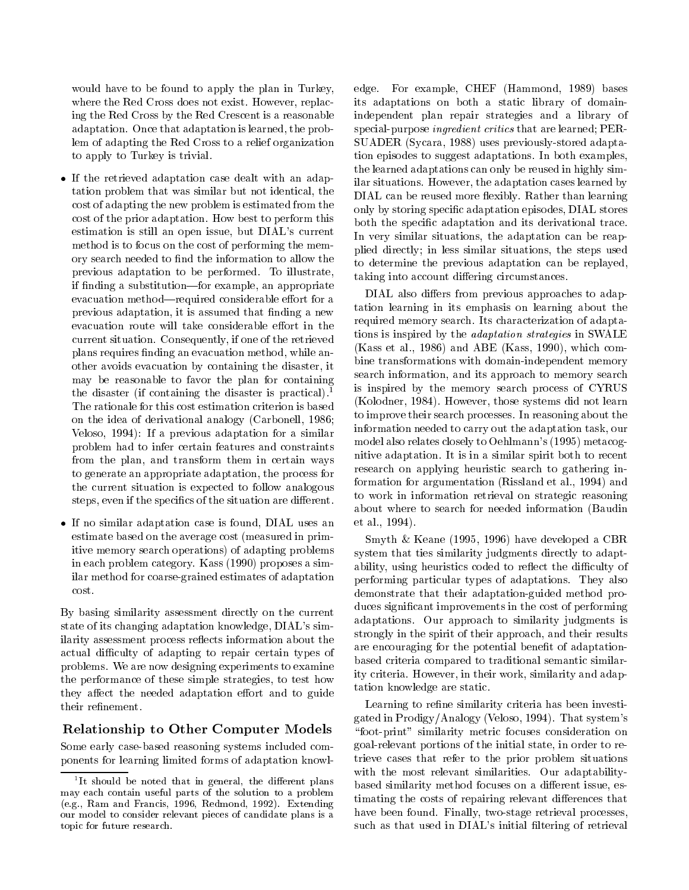would have to be found to apply the plan in Turkey, where the Red Cross does not exist. However, replacing the Red Cross by the Red Crescent is a reasonable adaptation. Once that adaptation is learned, the problem of adapting the Red Cross to a relief organization to apply to Turkey is trivial.

- $\bullet$  If the retrieved adaptation case dealt with an adaptation problem that was similar but not identical, the cost of adapting the new problem is estimated from the cost of the prior adaptation. How best to perform this estimation is still an open issue, but DIAL's current method is to focus on the cost of performing the memory search needed to find the information to allow the previous adaptation to be performed. To illustrate, if finding a substitution—for example, an appropriate evacuation method—required considerable effort for a previous adaptation, it is assumed that finding a new evacuation route will take considerable effort in the current situation. Consequently, if one of the retrieved plans requires finding an evacuation method, while another avoids evacuation by containing the disaster, it may be reasonable to favor the plan for containing the disaster (if containing the disaster is practical).<sup>1</sup> The rationale for this cost estimation criterion is based on the idea of derivational analogy (Carbonell, 1986; Veloso, 1994): If a previous adaptation for a similar problem had to infer certain features and constraints from the plan, and transform them in certain ways to generate an appropriate adaptation, the process for the current situation is expected to follow analogous steps, even if the specifics of the situation are different.
- $\bullet$  If no similar adaptation case is found, DIAL uses an  $-$  et al. estimate based on the average cost (measured in primitive memory search operations) of adapting problems in each problem category. Kass (1990) proposes a similar method for coarse-grained estimates of adaptation cost.

By basing similarity assessment directly on the current state of its changing adaptation knowledge, DIAL's similarity assessment process reflects information about the actual difficulty of adapting to repair certain types of problems. We are now designing experiments to examine the performance of these simple strategies, to test how they affect the needed adaptation effort and to guide

# Relationship to Other Computer Models

Some early case-based reasoning systems included components for learning limited forms of adaptation knowledge. For example, CHEF (Hammond, 1989) bases its adaptations on both a static library of domainindependent plan repair strategies and a library of special-purpose ingredient critics that are learned; PER-SUADER (Sycara, 1988) uses previously-stored adaptation episodes to suggest adaptations. In both examples, the learned adaptations can only be reused in highly similar situations. However, the adaptation cases learned by DIAL can be reused more flexibly. Rather than learning only by storing specic adaptation episodes, DIAL stores both the specic adaptation and its derivational trace. In very similar situations, the adaptation can be reapplied directly; in less similar situations, the steps used to determine the previous adaptation can be replayed, taking into account differing circumstances.

DIAL also differs from previous approaches to adaptation learning in its emphasis on learning about the required memory search. Its characterization of adaptations is inspired by the adaptation strategies in SWALE (Kass et al., 1986) and ABE (Kass, 1990), which combine transformations with domain-independent memory search information, and its approach to memory search is inspired by the memory search process of CYRUS (Kolodner, 1984). However, those systems did not learn to improve their search processes. In reasoning about the information needed to carry out the adaptation task, our model also relates closely to Oehlmann's (1995) metacognitive adaptation. It is in a similar spirit both to recent research on applying heuristic search to gathering information for argumentation (Rissland et al., 1994) and to work in information retrieval on strategic reasoning about where to search for needed information (Baudin et al., 1994).

Smyth & Keane (1995, 1996) have developed a CBR system that ties similarity judgments directly to adaptability, using heuristics coded to reflect the difficulty of performing particular types of adaptations. They also demonstrate that their adaptation-guided method produces signicant improvements in the cost of performing adaptations. Our approach to similarity judgments is strongly in the spirit of their approach, and their results are encouraging for the potential benefit of adaptationbased criteria compared to traditional semantic similarity criteria. However, in their work, similarity and adaptation knowledge are static.

Learning to refine similarity criteria has been investigated in Prodigy/Analogy (Veloso, 1994). That system's "foot-print" similarity metric focuses consideration on goal-relevant portions of the initial state, in order to retrieve cases that refer to the prior problem situations with the most relevant similarities. Our adaptabilitybased similarity method focuses on a different issue, estimating the costs of repairing relevant differences that have been found. Finally, two-stage retrieval processes, such as that used in DIAL's initial filtering of retrieval

It should be noted that in general, the different plans  $\mathbb{R}^2$ may each contain useful parts of the solution to a problem  $\mathfrak{g}_1$  ram and Francis, 1990, Redmond, 1992). Extending our model to consider relevant pieces of candidate plans is atopic for future research.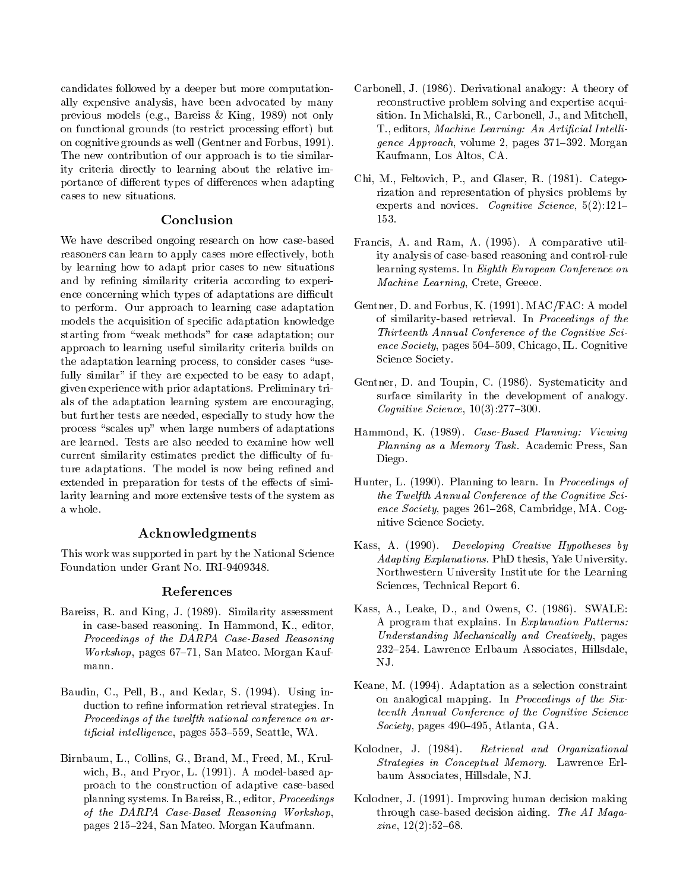candidates followed by a deeper but more computationally expensive analysis, have been advocated by many previous models (e.g., Bareiss & King, 1989) not only on functional grounds (to restrict processing effort) but on cognitive grounds as well (Gentner and Forbus, 1991). The new contribution of our approach is to tie similarity criteria directly to learning about the relative importance of different types of differences when adapting

#### Conclusion

We have described ongoing research on how case-based reasoners can learn to apply cases more effectively, both by learning how to adapt prior cases to new situations and by refining similarity criteria according to experience concerning which types of adaptations are difficult to perform. Our approach to learning case adaptation models the acquisition of specic adaptation knowledge starting from \weak methods" for case adaptation; our approach to learning useful similarity criteria builds on the adaptation learning process, to consider cases "usefully similar" if they are expected to be easy to adapt, given experience with prior adaptations. Preliminary trials of the adaptation learning system are encouraging, but further tests are needed, especially to study how the process "scales up" when large numbers of adaptations are learned. Tests are also needed to examine how well current similarity estimates predict the difficulty of future adaptations. The model is now being refined and extended in preparation for tests of the effects of similarity learning and more extensive tests of the system as a whole.

#### Acknowledgments

This work was supported in part by the National Science Foundation under Grant No. IRI-9409348.

#### References

- Bareiss, R. and King, J. (1989). Similarity assessment in case-based reasoning. In Hammond, K., editor, Proceedings of the DARPA Case-Based Reasoning  $Workshop$ , pages 67–71, San Mateo. Morgan Kaufmann.
- Baudin, C., Pell, B., and Kedar, S. (1994). Using induction to refine information retrieval strategies. In Proceedings of the twelfth national conference on ar $tificial\ intelligence, pages\ 553–559, Seattle, WA.$
- Birnbaum, L., Collins, G., Brand, M., Freed, M., Krulwich, B., and Pryor, L. (1991). A model-based approach to the construction of adaptive case-based planning systems. In Bareiss, R., editor, Proceedings of the DARPA Case-Based Reasoning Workshop, pages 215-224, San Mateo. Morgan Kaufmann.
- Carbonell, J. (1986). Derivational analogy: A theory of reconstructive problem solving and expertise acquisition. In Michalski, R., Carbonell, J., and Mitchell, T., editors, Machine Learning: An Artificial Intelligence Approach, volume 2, pages  $371-392$ . Morgan Kaufmann, Los Altos, CA.
- Chi, M., Feltovich, P., and Glaser, R. (1981). Categorization and representation of physics problems by experts and novices. Cognitive Science,  $5(2):121-$ 153.
- Francis, A. and Ram, A. (1995). A comparative utility analysis of case-based reasoning and control-rule learning systems. In Eighth European Conference on Machine Learning, Crete, Greece.
- Gentner, D. and Forbus, K. (1991). MAC/FAC: A model of similarity-based retrieval. In Proceedings of the Thirteenth Annual Conference of the Cognitive Science Society, pages 504-509, Chicago, IL. Cognitive Science Society.
- Gentner, D. and Toupin, C. (1986). Systematicity and surface similarity in the development of analogy. Cognitive Science,  $10(3)$ :277-300.
- Hammond, K. (1989). Case-Based Planning: Viewing Planning as a Memory Task. Academic Press, San Diego.
- Hunter, L. (1990). Planning to learn. In Proceedings of the Twelfth Annual Conference of the Cognitive Science Society, pages  $261{-}268$ , Cambridge, MA. Cognitive Science Society.
- Kass, A. (1990). Developing Creative Hypotheses by Adapting Explanations. PhD thesis, Yale University. Northwestern University Institute for the Learning Sciences, Technical Report 6.
- Kass, A., Leake, D., and Owens, C. (1986). SWALE: A program that explains. In Explanation Patterns: Understanding Mechanically and Creatively, pages 232-254. Lawrence Erlbaum Associates, Hillsdale, NJ.
- Keane, M. (1994). Adaptation as a selection constraint on analogical mapping. In Proceedings of the Sixteenth Annual Conference of the Cognitive Science Society, pages  $490-495$ , Atlanta, GA.
- Kolodner, J. (1984). Retrieval and Organizational Strategies in Conceptual Memory. Lawrence Erlbaum Associates, Hillsdale, NJ.
- Kolodner, J. (1991). Improving human decision making through case-based decision aiding. The AI Maga $zine, 12(2):52{-}68.$